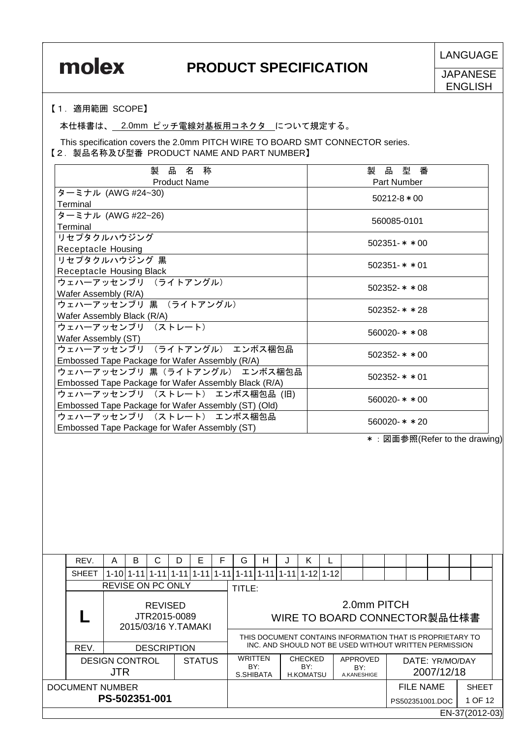**JAPANESE** ENGLISH

### 【1.適用範囲 SCOPE】

本仕様書は、 2.0mm ピッチ電線対基板用コネクタ について規定する。

This specification covers the 2.0mm PITCH WIRE TO BOARD SMT CONNECTOR series. 【2.製品名称及び型番 PRODUCT NAME AND PART NUMBER】

| 製<br>品<br>称<br>名                                     | 製<br>品<br>型<br>番                                                                                                                                                                                                                                                                                                                                                                 |
|------------------------------------------------------|----------------------------------------------------------------------------------------------------------------------------------------------------------------------------------------------------------------------------------------------------------------------------------------------------------------------------------------------------------------------------------|
| <b>Product Name</b>                                  | Part Number                                                                                                                                                                                                                                                                                                                                                                      |
| ターミナル (AWG #24~30)                                   | $50212 - 8 * 00$                                                                                                                                                                                                                                                                                                                                                                 |
| Terminal                                             |                                                                                                                                                                                                                                                                                                                                                                                  |
| ターミナル (AWG #22~26)                                   |                                                                                                                                                                                                                                                                                                                                                                                  |
| Terminal                                             | 560085-0101                                                                                                                                                                                                                                                                                                                                                                      |
| リセプタクルハウジング                                          | $502351 - * * 00$                                                                                                                                                                                                                                                                                                                                                                |
| <b>Receptacle Housing</b>                            |                                                                                                                                                                                                                                                                                                                                                                                  |
| リセプタクルハウジング 黒                                        |                                                                                                                                                                                                                                                                                                                                                                                  |
| Receptacle Housing Black                             | $502351 - * * 01$                                                                                                                                                                                                                                                                                                                                                                |
| ウェハーアッセンブリ (ライトアングル)                                 | $502352 - * * 08$                                                                                                                                                                                                                                                                                                                                                                |
| Wafer Assembly (R/A)                                 |                                                                                                                                                                                                                                                                                                                                                                                  |
| ウェハーアッセンブリ 黒 (ライトアングル)                               | $502352 - * * 28$                                                                                                                                                                                                                                                                                                                                                                |
| Wafer Assembly Black (R/A)                           |                                                                                                                                                                                                                                                                                                                                                                                  |
| ウェハーアッセンブリ (ストレート)                                   |                                                                                                                                                                                                                                                                                                                                                                                  |
| Wafer Assembly (ST)                                  | $560020 - * * 08$                                                                                                                                                                                                                                                                                                                                                                |
| ウェハーアッセンブリ (ライトアングル) エンボス梱包品                         | $502352 - * * 00$                                                                                                                                                                                                                                                                                                                                                                |
| Embossed Tape Package for Wafer Assembly (R/A)       |                                                                                                                                                                                                                                                                                                                                                                                  |
| ウェハーアッセンブリ 黒(ライトアングル) エンボス梱包品                        |                                                                                                                                                                                                                                                                                                                                                                                  |
| Embossed Tape Package for Wafer Assembly Black (R/A) | $502352 - * * 01$                                                                                                                                                                                                                                                                                                                                                                |
| ウェハーアッセンブリ (ストレート) エンボス梱包品 (旧)                       |                                                                                                                                                                                                                                                                                                                                                                                  |
| Embossed Tape Package for Wafer Assembly (ST) (Old)  | $560020 - * * 00$                                                                                                                                                                                                                                                                                                                                                                |
| ウェハーアッセンブリ (ストレート) エンボス梱包品                           |                                                                                                                                                                                                                                                                                                                                                                                  |
| Embossed Tape Package for Wafer Assembly (ST)        | $560020 - * * 20$                                                                                                                                                                                                                                                                                                                                                                |
|                                                      | $\omega$ $\overline{w}$ $\overline{w}$ $\overline{w}$ $\overline{w}$ $\overline{w}$ $\overline{w}$ $\overline{w}$ $\overline{w}$ $\overline{w}$ $\overline{w}$ $\overline{w}$ $\overline{w}$ $\overline{w}$ $\overline{w}$ $\overline{w}$ $\overline{w}$ $\overline{w}$ $\overline{w}$ $\overline{w}$ $\overline{w}$ $\overline{w}$ $\overline{w}$ $\overline{w}$ $\overline{w}$ |

\*:図面参照(Refer to the drawing)

| REV.                   | A          | B                        | С              | D                  | Е             | F        | G        | н                                                                                                                   | J | K                                         |                                |             |                              |            |                |  |
|------------------------|------------|--------------------------|----------------|--------------------|---------------|----------|----------|---------------------------------------------------------------------------------------------------------------------|---|-------------------------------------------|--------------------------------|-------------|------------------------------|------------|----------------|--|
| <b>SHEET</b>           |            | 1-10 1-11 1-11 1-11 1    |                |                    | $1 - 11$      | $1 - 11$ | $1 - 11$ | 1-11 1-11 1-12 1-12                                                                                                 |   |                                           |                                |             |                              |            |                |  |
|                        |            | <b>REVISE ON PC ONLY</b> |                |                    |               |          | TITLE:   |                                                                                                                     |   |                                           |                                |             |                              |            |                |  |
|                        |            | 2015/03/16 Y.TAMAKI      | <b>REVISED</b> | JTR2015-0089       |               |          |          |                                                                                                                     |   |                                           |                                | 2.0mm PITCH | WIRE TO BOARD CONNECTOR製品仕様書 |            |                |  |
| REV.                   |            |                          |                | <b>DESCRIPTION</b> |               |          |          | THIS DOCUMENT CONTAINS INFORMATION THAT IS PROPRIETARY TO<br>INC. AND SHOULD NOT BE USED WITHOUT WRITTEN PERMISSION |   |                                           |                                |             |                              |            |                |  |
| <b>DESIGN CONTROL</b>  | <b>JTR</b> |                          |                |                    | <b>STATUS</b> |          |          | <b>WRITTEN</b><br>BY:<br>S.SHIBATA                                                                                  |   | <b>CHECKED</b><br>BY:<br><b>H.KOMATSU</b> | APPROVED<br>BY:<br>A.KANESHIGE |             | DATE: YR/MO/DAY              | 2007/12/18 |                |  |
| <b>DOCUMENT NUMBER</b> |            |                          |                |                    |               |          |          |                                                                                                                     |   |                                           |                                |             | <b>FILE NAME</b>             |            | <b>SHEET</b>   |  |
|                        |            | PS-502351-001            |                |                    |               |          |          |                                                                                                                     |   |                                           |                                |             | PS502351001.DOC              |            | 1 OF 12        |  |
|                        |            |                          |                |                    |               |          |          |                                                                                                                     |   |                                           |                                |             |                              |            | EN-37(2012-03) |  |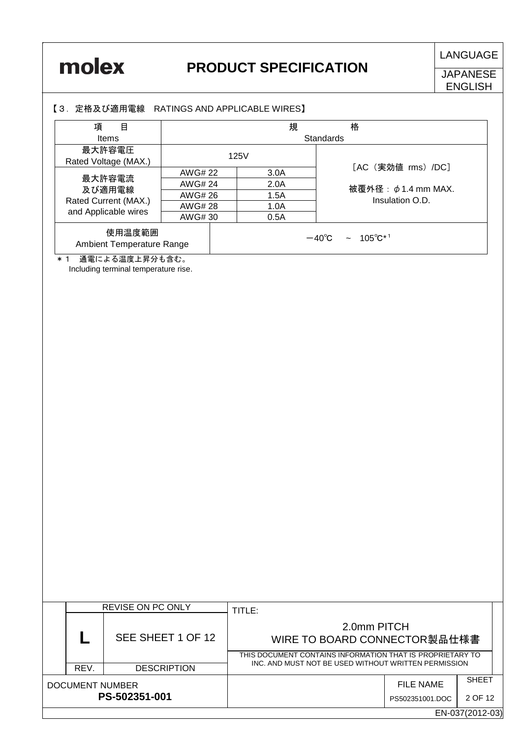**JAPANESE** ENGLISH

### 【3.定格及び適用電線 RATINGS AND APPLICABLE WIRES】

| 項<br>目                              |         | 規    |  | 格                                           |  |
|-------------------------------------|---------|------|--|---------------------------------------------|--|
| <b>Items</b>                        |         |      |  | Standards                                   |  |
| 最大許容電圧<br>Rated Voltage (MAX.)      | 125V    |      |  |                                             |  |
|                                     | AWG# 22 | 3.0A |  | [AC (実効値 rms) /DC]                          |  |
| 最大許容電流<br>及び適用電線                    | AWG# 24 | 2.0A |  | 被覆外径: $\phi$ 1.4 mm MAX.                    |  |
| Rated Current (MAX.)                | AWG# 26 | 1.5A |  | Insulation O.D.                             |  |
| and Applicable wires                | AWG# 28 | 1.0A |  |                                             |  |
|                                     | AWG# 30 | 0.5A |  |                                             |  |
| 使用温度範囲<br>Ambient Temperature Range |         |      |  | $\sim 105^{\circ}C^{*1}$<br>$-40^{\circ}$ C |  |
| 通電による温度上昇分も含む。<br>$*1$              |         |      |  |                                             |  |

Including terminal temperature rise.

|                 |      | REVISE ON PC ONLY  | TITLE:                                                    |                 |                 |
|-----------------|------|--------------------|-----------------------------------------------------------|-----------------|-----------------|
|                 |      | SEE SHEET 1 OF 12  | 2.0mm PITCH<br>WIRE TO BOARD CONNECTOR製品仕様書               |                 |                 |
|                 |      |                    | THIS DOCUMENT CONTAINS INFORMATION THAT IS PROPRIETARY TO |                 |                 |
|                 | REV. | <b>DESCRIPTION</b> | INC. AND MUST NOT BE USED WITHOUT WRITTEN PERMISSION      |                 |                 |
| DOCUMENT NUMBER |      |                    |                                                           | FILE NAME       | <b>SHEET</b>    |
|                 |      | PS-502351-001      |                                                           | PS502351001.DOC | 2 OF 12         |
|                 |      |                    |                                                           |                 | EN-037(2012-03) |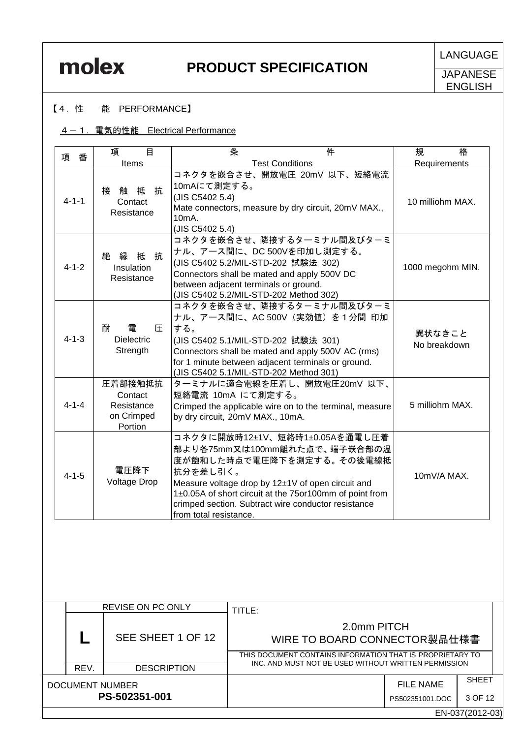**LANGUAGE** 

**JAPANESE** ENGLISH

### 【4.性 能 PERFORMANCE】

### 4-1. 電気的性能 Electrical Performance

| 項<br>番      | 目<br>項                                                    | 条                                                                                                                                                                                                                                                                                                        | 件 | 規<br>格                 |
|-------------|-----------------------------------------------------------|----------------------------------------------------------------------------------------------------------------------------------------------------------------------------------------------------------------------------------------------------------------------------------------------------------|---|------------------------|
|             | Items                                                     | <b>Test Conditions</b>                                                                                                                                                                                                                                                                                   |   | Requirements           |
| $4 - 1 - 1$ | 抗<br>接 触<br>抵<br>Contact<br>Resistance                    | コネクタを嵌合させ、開放電圧 20mV 以下、短絡電流<br>10mAにて測定する。<br>(JIS C5402 5.4)<br>Mate connectors, measure by dry circuit, 20mV MAX.,<br>$10mA$ .<br>(JIS C5402 5.4)                                                                                                                                                      |   | 10 milliohm MAX.       |
| $4 - 1 - 2$ | 抗<br>絶縁<br>抵<br>Insulation<br>Resistance                  | コネクタを嵌合させ、隣接するターミナル間及びターミ<br>ナル、アース間に、DC 500Vを印加し測定する。<br>(JIS C5402 5.2/MIL-STD-202 試験法 302)<br>Connectors shall be mated and apply 500V DC<br>between adjacent terminals or ground.<br>(JIS C5402 5.2/MIL-STD-202 Method 302)                                                                          |   | 1000 megohm MIN.       |
| $4 - 1 - 3$ | 雷<br>耐<br>圧<br><b>Dielectric</b><br>Strength              | コネクタを嵌合させ、隣接するターミナル間及びターミ<br>ナル、アース間に、AC 500V(実効値)を1分間 印加<br>する。<br>(JIS C5402 5.1/MIL-STD-202 試験法 301)<br>Connectors shall be mated and apply 500V AC (rms)<br>for 1 minute between adjacent terminals or ground.<br>(JIS C5402 5.1/MIL-STD-202 Method 301)                                             |   | 異状なきこと<br>No breakdown |
| $4 - 1 - 4$ | 圧着部接触抵抗<br>Contact<br>Resistance<br>on Crimped<br>Portion | ターミナルに適合電線を圧着し、開放電圧20mV 以下、<br>短絡電流 10mA にて測定する。<br>Crimped the applicable wire on to the terminal, measure<br>by dry circuit, 20mV MAX., 10mA.                                                                                                                                                          |   | 5 milliohm MAX.        |
| $4 - 1 - 5$ | 電圧降下<br><b>Voltage Drop</b>                               | コネクタに開放時12±1V、短絡時1±0.05Aを通電し圧着<br>部より各75mm又は100mm離れた点で、端子嵌合部の温<br>度が飽和した時点で電圧降下を測定する。その後電線抵<br>抗分を差し引く。<br>Measure voltage drop by 12±1V of open circuit and<br>1±0.05A of short circuit at the 75or100mm of point from<br>crimped section. Subtract wire conductor resistance<br>from total resistance. |   | 10mV/A MAX.            |

|                 |      | <b>REVISE ON PC ONLY</b> | TITLE:                                                                                                   |                 |                 |
|-----------------|------|--------------------------|----------------------------------------------------------------------------------------------------------|-----------------|-----------------|
|                 |      | SEE SHEET 1 OF 12        | 2.0mm PITCH<br>WIRE TO BOARD CONNECTOR製品仕様書<br>THIS DOCUMENT CONTAINS INFORMATION THAT IS PROPRIETARY TO |                 |                 |
|                 | REV. | <b>DESCRIPTION</b>       | INC. AND MUST NOT BE USED WITHOUT WRITTEN PERMISSION                                                     |                 |                 |
| DOCUMENT NUMBER |      |                          |                                                                                                          | FILE NAME       | <b>SHEET</b>    |
|                 |      | PS-502351-001            |                                                                                                          | PS502351001.DOC | 3 OF 12         |
|                 |      |                          |                                                                                                          |                 | EN-037(2012-03) |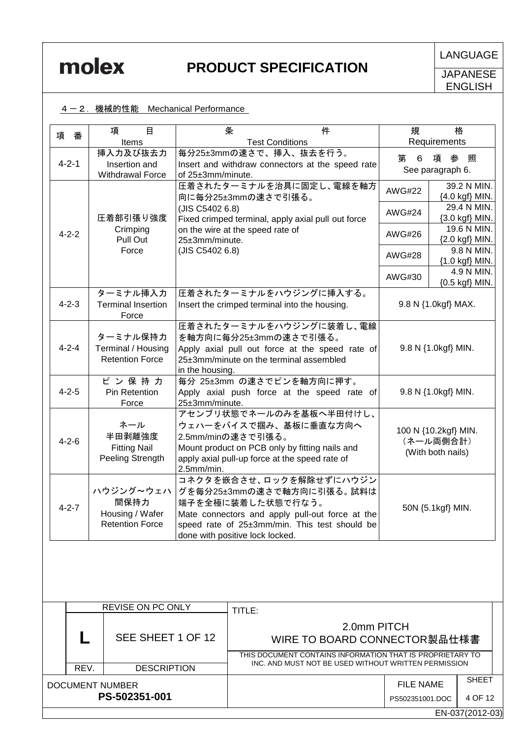

**JAPANESE** ENGLISH

### 4-2. 機械的性能 Mechanical Performance

| 項<br>番      | $\mathbf{B}$<br>項                                              | 条<br>件                                                                                                                                                                                                           | 規             | 格                                                      |
|-------------|----------------------------------------------------------------|------------------------------------------------------------------------------------------------------------------------------------------------------------------------------------------------------------------|---------------|--------------------------------------------------------|
|             | Items                                                          | <b>Test Conditions</b>                                                                                                                                                                                           |               | Requirements                                           |
| $4 - 2 - 1$ | 挿入力及び抜去力<br>Insertion and<br><b>Withdrawal Force</b>           | 毎分25±3mmの速さで、挿入、抜去を行う。<br>Insert and withdraw connectors at the speed rate<br>of 25±3mm/minute.                                                                                                                  | 第<br>6        | 項参<br>照<br>See paragraph 6.                            |
|             |                                                                | 圧着されたターミナルを治具に固定し、電線を軸方<br>向に毎分25±3mmの速さで引張る。                                                                                                                                                                    | <b>AWG#22</b> | 39.2 N MIN.<br>{4.0 kgf} MIN.                          |
|             | 圧着部引張り強度                                                       | (JIS C5402 6.8)<br>Fixed crimped terminal, apply axial pull out force                                                                                                                                            | <b>AWG#24</b> | 29.4 N MIN.<br>{3.0 kgf} MIN.                          |
| $4 - 2 - 2$ | Crimping<br>Pull Out                                           | on the wire at the speed rate of<br>25±3mm/minute.                                                                                                                                                               | AWG#26        | 19.6 N MIN.<br>{2.0 kgf} MIN.                          |
|             | Force                                                          | (JIS C5402 6.8)                                                                                                                                                                                                  | AWG#28        | 9.8 N MIN.<br>{1.0 kgf} MIN.                           |
|             |                                                                |                                                                                                                                                                                                                  | AWG#30        | 4.9 N MIN.<br>{0.5 kgf} MIN.                           |
| $4 - 2 - 3$ | ターミナル挿入力<br><b>Terminal Insertion</b><br>Force                 | 圧着されたターミナルをハウジングに挿入する。<br>Insert the crimped terminal into the housing.                                                                                                                                          |               | 9.8 N {1.0kgf} MAX.                                    |
| $4 - 2 - 4$ | ターミナル保持力<br>Terminal / Housing<br><b>Retention Force</b>       | 圧着されたターミナルをハウジングに装着し、電線<br>を軸方向に毎分25±3mmの速さで引張る。<br>Apply axial pull out force at the speed rate of<br>25±3mm/minute on the terminal assembled<br>in the housing.                                                |               | 9.8 N {1.0kgf} MIN.                                    |
| $4 - 2 - 5$ | ピン保持力<br>Pin Retention<br>Force                                | 毎分 25±3mm の速さでピンを軸方向に押す。<br>Apply axial push force at the speed rate of<br>25±3mm/minute.                                                                                                                        |               | 9.8 N {1.0kgf} MIN.                                    |
| $4 - 2 - 6$ | ネール<br>半田剥離強度<br><b>Fitting Nail</b><br>Peeling Strength       | アセンブリ状態でネールのみを基板へ半田付けし、<br>ウェハーをバイスで掴み、基板に垂直な方向へ<br>2.5mm/minの速さで引張る。<br>Mount product on PCB only by fitting nails and<br>apply axial pull-up force at the speed rate of<br>2.5mm/min.                          |               | 100 N {10.2kgf} MIN.<br>(ネール両側合計)<br>(With both nails) |
| $4 - 2 - 7$ | ハウジング~ウェハ<br>間保持力<br>Housing / Wafer<br><b>Retention Force</b> | コネクタを嵌合させ、ロックを解除せずにハウジン<br>グを毎分25±3mmの速さで軸方向に引張る。試料は<br>端子を全極に装着した状態で行なう。<br>Mate connectors and apply pull-out force at the<br>speed rate of 25±3mm/min. This test should be<br>done with positive lock locked. |               | 50N {5.1kgf} MIN.                                      |

|                 | <b>REVISE ON PC ONLY</b> | TITLE:                                                                                                            |                 |                 |
|-----------------|--------------------------|-------------------------------------------------------------------------------------------------------------------|-----------------|-----------------|
|                 | SEE SHEET 1 OF 12        | 2.0mm PITCH<br>WIRE TO BOARD CONNECTOR製品仕様書                                                                       |                 |                 |
|                 |                          | THIS DOCUMENT CONTAINS INFORMATION THAT IS PROPRIETARY TO<br>INC. AND MUST NOT BE USED WITHOUT WRITTEN PERMISSION |                 |                 |
| REV.            | <b>DESCRIPTION</b>       |                                                                                                                   |                 |                 |
| DOCUMENT NUMBER |                          |                                                                                                                   | FILE NAME       | <b>SHEET</b>    |
|                 | PS-502351-001            |                                                                                                                   | PS502351001.DOC | 4 OF 12         |
|                 |                          |                                                                                                                   |                 | EN-037(2012-03) |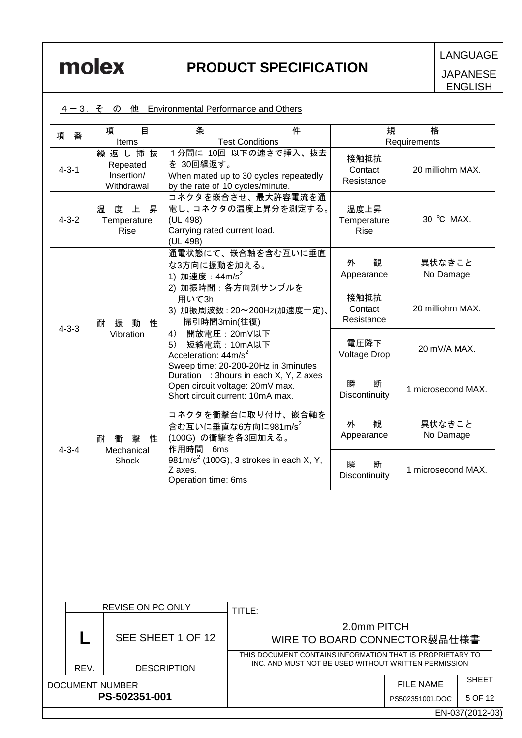|  |  | 4-3. そ の 他 Environmental Performance and Others |
|--|--|-------------------------------------------------|
|  |  |                                                 |

| 番<br>項      | 項<br>目                                        | 件<br>条                                                                                                              | 規                                  | 格                   |
|-------------|-----------------------------------------------|---------------------------------------------------------------------------------------------------------------------|------------------------------------|---------------------|
|             | Items                                         | <b>Test Conditions</b>                                                                                              |                                    | Requirements        |
| $4 - 3 - 1$ | 繰返し挿抜<br>Repeated<br>Insertion/<br>Withdrawal | 1分間に 10回 以下の速さで挿入、抜去<br>を 30回繰返す。<br>When mated up to 30 cycles repeatedly<br>by the rate of 10 cycles/minute.      | 接触抵抗<br>Contact<br>Resistance      | 20 milliohm MAX.    |
| $4 - 3 - 2$ | 温<br>度 上 昇<br>Temperature<br><b>Rise</b>      | コネクタを嵌合させ、最大許容電流を通<br>電し、コネクタの温度上昇分を測定する。<br>(UL 498)<br>Carrying rated current load.<br>(UL 498)                   | 温度上昇<br>Temperature<br><b>Rise</b> | 30 °C MAX.          |
|             |                                               | 通電状態にて、嵌合軸を含む互いに垂直<br>な3方向に振動を加える。<br>1) 加速度:44m/s <sup>2</sup><br>2) 加振時間: 各方向別サンプルを                               | 観<br>外<br>Appearance               | 異状なきこと<br>No Damage |
| $4 - 3 - 3$ | 性<br>振<br>動<br>耐<br>Vibration                 | 用いて3h<br>3) 加振周波数: 20~200Hz(加速度一定)、<br>掃引時間3min(往復)                                                                 | 接触抵抗<br>Contact<br>Resistance      | 20 milliohm MAX.    |
|             |                                               | 開放電圧: 20mV以下<br>4)<br>短絡電流: 10mA以下<br>5)<br>Acceleration: 44m/s <sup>2</sup><br>Sweep time: 20-200-20Hz in 3minutes | 電圧降下<br><b>Voltage Drop</b>        | 20 mV/A MAX.        |
|             |                                               | Duration : 3hours in each X, Y, Z axes<br>Open circuit voltage: 20mV max.<br>Short circuit current: 10mA max.       | 瞬<br>断<br>Discontinuity            | 1 microsecond MAX.  |
| $4 - 3 - 4$ | 墼<br>性<br>耐<br>衝                              | コネクタを衝撃台に取り付け、嵌合軸を<br>含む互いに垂直な6方向に981m/s <sup>2</sup><br>(100G) の衝撃を各3回加える。<br>作用時間 6ms                             | 観<br>外<br>Appearance               | 異状なきこと<br>No Damage |
|             | Mechanical<br>Shock                           | 981m/s <sup>2</sup> (100G), 3 strokes in each X, Y,<br>Z axes.<br>Operation time: 6ms                               | 瞬<br>断<br>Discontinuity            | 1 microsecond MAX.  |

|                 | <b>REVISE ON PC ONLY</b> | TITLE:                                                                                                            |                 |                 |
|-----------------|--------------------------|-------------------------------------------------------------------------------------------------------------------|-----------------|-----------------|
|                 | SEE SHEET 1 OF 12        | 2.0mm PITCH<br>WIRE TO BOARD CONNECTOR製品仕様書                                                                       |                 |                 |
|                 |                          | THIS DOCUMENT CONTAINS INFORMATION THAT IS PROPRIETARY TO<br>INC. AND MUST NOT BE USED WITHOUT WRITTEN PERMISSION |                 |                 |
| REV.            | <b>DESCRIPTION</b>       |                                                                                                                   |                 |                 |
| DOCUMENT NUMBER |                          |                                                                                                                   | FILE NAME       | <b>SHEET</b>    |
|                 | PS-502351-001            |                                                                                                                   | PS502351001.DOC | 5 OF 12         |
|                 |                          |                                                                                                                   |                 | EN-037(2012-03) |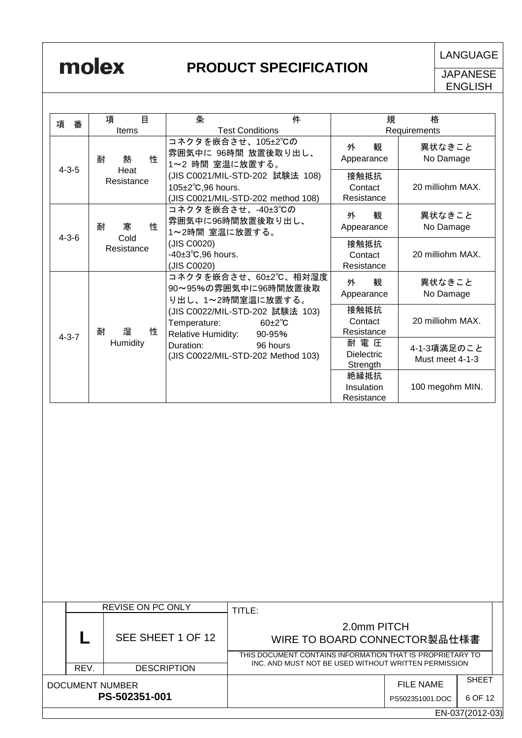| 項<br>番      | 目<br>項              | 条<br>件                                                                                             | 格<br>規                                                                   |
|-------------|---------------------|----------------------------------------------------------------------------------------------------|--------------------------------------------------------------------------|
|             | Items               | <b>Test Conditions</b>                                                                             | Requirements                                                             |
| $4 - 3 - 5$ | 性<br>耐<br>熱<br>Heat | コネクタを嵌合させ、105±2℃の<br>雰囲気中に 96時間 放置後取り出し、<br>1~2 時間 室温に放置する。                                        | 外<br>観<br>異状なきこと<br>No Damage<br>Appearance                              |
|             | Resistance          | (JIS C0021/MIL-STD-202 試験法 108)<br>105±2°C,96 hours.<br>(JIS C0021/MIL-STD-202 method 108)         | 接触抵抗<br>20 milliohm MAX.<br>Contact<br>Resistance                        |
| $4 - 3 - 6$ | 性<br>寒<br>耐<br>Cold | コネクタを嵌合させ、-40±3℃の<br>雰囲気中に96時間放置後取り出し、<br>1~2時間 室温に放置する。                                           | 観<br>異状なきこと<br>外<br>No Damage<br>Appearance                              |
|             | Resistance          | (JIS C0020)<br>-40±3°C,96 hours.<br>(JIS C0020)                                                    | 接触抵抗<br>20 milliohm MAX.<br>Contact<br>Resistance                        |
|             |                     | コネクタを嵌合させ、60±2℃、相対湿度<br>90~95%の雰囲気中に96時間放置後取<br>り出し、1~2時間室温に放置する。                                  | 観<br>外<br>異状なきこと<br>No Damage<br>Appearance                              |
| $4 - 3 - 7$ | 耐<br>性<br>湿         | (JIS C0022/MIL-STD-202 試験法 103)<br>$60+2^{\circ}C$<br>Temperature:<br>Relative Humidity:<br>90-95% | 接触抵抗<br>20 milliohm MAX.<br>Contact<br>Resistance                        |
|             | Humidity            | Duration:<br>96 hours<br>(JIS C0022/MIL-STD-202 Method 103)                                        | 耐 電 圧<br>4-1-3項満足のこと<br><b>Dielectric</b><br>Must meet 4-1-3<br>Strength |
|             |                     |                                                                                                    | 絶縁抵抗<br>100 megohm MIN.<br>Insulation<br>Resistance                      |

|                 |                 | <b>REVISE ON PC ONLY</b> | TITLE:                                                                                                                                                           |                 |              |
|-----------------|-----------------|--------------------------|------------------------------------------------------------------------------------------------------------------------------------------------------------------|-----------------|--------------|
|                 |                 | SEE SHEET 1 OF 12        | 2.0mm PITCH<br>WIRE TO BOARD CONNECTOR製品仕様書<br>THIS DOCUMENT CONTAINS INFORMATION THAT IS PROPRIETARY TO<br>INC. AND MUST NOT BE USED WITHOUT WRITTEN PERMISSION |                 |              |
|                 |                 |                          |                                                                                                                                                                  |                 |              |
|                 | REV.            | <b>DESCRIPTION</b>       |                                                                                                                                                                  |                 |              |
| DOCUMENT NUMBER |                 |                          |                                                                                                                                                                  | FILE NAME       | <b>SHEET</b> |
| PS-502351-001   |                 |                          |                                                                                                                                                                  | PS502351001.DOC | 6 OF 12      |
|                 | EN-037(2012-03) |                          |                                                                                                                                                                  |                 |              |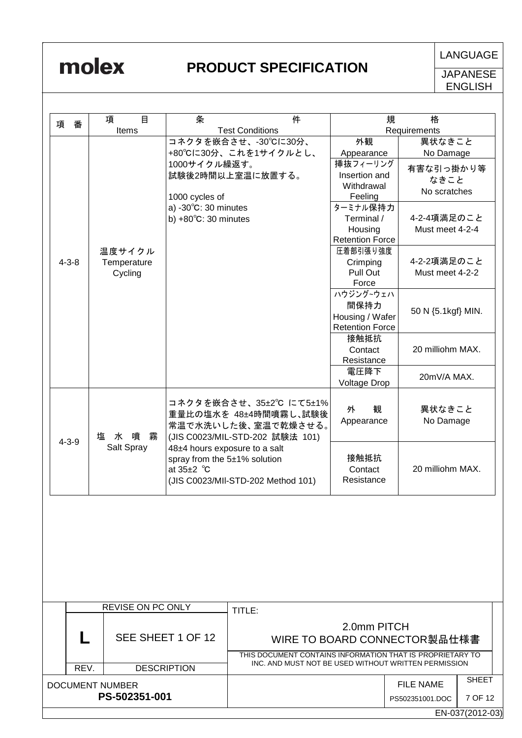|                                                 |             | 目<br>項                                                    | 条                              | 件                                  | 規                            | 格                    |                 |
|-------------------------------------------------|-------------|-----------------------------------------------------------|--------------------------------|------------------------------------|------------------------------|----------------------|-----------------|
| 項                                               | 番           | Items                                                     |                                | <b>Test Conditions</b>             |                              | Requirements         |                 |
|                                                 |             |                                                           |                                | コネクタを嵌合させ、-30°Cに30分、               | 外観                           | 異状なきこと               |                 |
|                                                 |             |                                                           |                                | +80°Cに30分、これを1サイクルとし、              | Appearance                   | No Damage            |                 |
|                                                 |             |                                                           | 1000サイクル繰返す。                   |                                    | 挿抜フィーリング                     |                      |                 |
|                                                 |             |                                                           |                                | 試験後2時間以上室温に放置する。                   | Insertion and                | 有害な引っ掛かり等            |                 |
|                                                 |             |                                                           |                                |                                    | Withdrawal                   | なきこと<br>No scratches |                 |
|                                                 |             |                                                           | 1000 cycles of                 |                                    | Feeling                      |                      |                 |
|                                                 |             |                                                           | a) $-30^{\circ}$ C: 30 minutes |                                    | ターミナル保持力                     |                      |                 |
|                                                 |             |                                                           | b) $+80^{\circ}$ C: 30 minutes |                                    | Terminal /                   | 4-2-4項満足のこと          |                 |
|                                                 |             |                                                           |                                |                                    | Housing                      | Must meet 4-2-4      |                 |
|                                                 |             |                                                           |                                |                                    | <b>Retention Force</b>       |                      |                 |
|                                                 |             | 温度サイクル                                                    |                                |                                    | 圧着部引張り強度                     | 4-2-2項満足のこと          |                 |
|                                                 | $4 - 3 - 8$ | Temperature                                               |                                |                                    | Crimping<br>Pull Out         | Must meet 4-2-2      |                 |
|                                                 |             | Cycling                                                   |                                |                                    | Force                        |                      |                 |
|                                                 |             |                                                           |                                |                                    | ハウジング~ウェハ                    |                      |                 |
|                                                 |             |                                                           |                                |                                    | 間保持力                         |                      |                 |
|                                                 |             |                                                           |                                |                                    | Housing / Wafer              | 50 N {5.1kgf} MIN.   |                 |
|                                                 |             |                                                           |                                |                                    | <b>Retention Force</b>       |                      |                 |
|                                                 |             |                                                           |                                |                                    | 接触抵抗                         |                      |                 |
|                                                 |             |                                                           |                                |                                    | Contact                      | 20 milliohm MAX.     |                 |
|                                                 |             |                                                           |                                |                                    | Resistance                   |                      |                 |
|                                                 |             |                                                           |                                |                                    | 電圧降下                         | 20mV/A MAX.          |                 |
|                                                 |             |                                                           |                                |                                    | <b>Voltage Drop</b>          |                      |                 |
|                                                 |             |                                                           |                                | コネクタを嵌合させ、35±2℃ にて5±1%             |                              |                      |                 |
|                                                 |             | 塩水噴霧<br>Salt Spray                                        |                                | 重量比の塩水を 48±4時間噴霧し、試験後              | 観<br>外                       | 異状なきこと               |                 |
|                                                 |             |                                                           |                                | 常温で水洗いした後、室温で乾燥させる。                | Appearance                   | No Damage            |                 |
|                                                 |             |                                                           |                                | (JIS C0023/MIL-STD-202 試験法 101)    |                              |                      |                 |
|                                                 | $4 - 3 - 9$ |                                                           | 48±4 hours exposure to a salt  |                                    |                              |                      |                 |
|                                                 |             |                                                           |                                | spray from the 5±1% solution       |                              | 接触抵抗                 |                 |
|                                                 |             |                                                           | at $35\pm2$ °C                 |                                    | Contact                      | 20 milliohm MAX.     |                 |
|                                                 |             |                                                           |                                | (JIS C0023/MII-STD-202 Method 101) | Resistance                   |                      |                 |
|                                                 |             |                                                           |                                |                                    |                              |                      |                 |
|                                                 |             | <b>REVISE ON PC ONLY</b>                                  |                                | TITLE:                             |                              |                      |                 |
|                                                 |             |                                                           |                                |                                    |                              |                      |                 |
| SEE SHEET 1 OF 12<br>REV.<br><b>DESCRIPTION</b> |             |                                                           |                                | 2.0mm PITCH                        |                              |                      |                 |
|                                                 |             |                                                           |                                |                                    | WIRE TO BOARD CONNECTOR製品仕様書 |                      |                 |
|                                                 |             | THIS DOCUMENT CONTAINS INFORMATION THAT IS PROPRIETARY TO |                                |                                    |                              |                      |                 |
|                                                 |             | INC. AND MUST NOT BE USED WITHOUT WRITTEN PERMISSION      |                                |                                    |                              |                      |                 |
|                                                 |             |                                                           |                                |                                    |                              | <b>FILE NAME</b>     | <b>SHEET</b>    |
| <b>DOCUMENT NUMBER</b><br>PS-502351-001         |             |                                                           |                                |                                    |                              |                      |                 |
|                                                 |             |                                                           |                                |                                    |                              | PS502351001.DOC      | 7 OF 12         |
|                                                 |             |                                                           |                                |                                    |                              |                      | EN-037(2012-03) |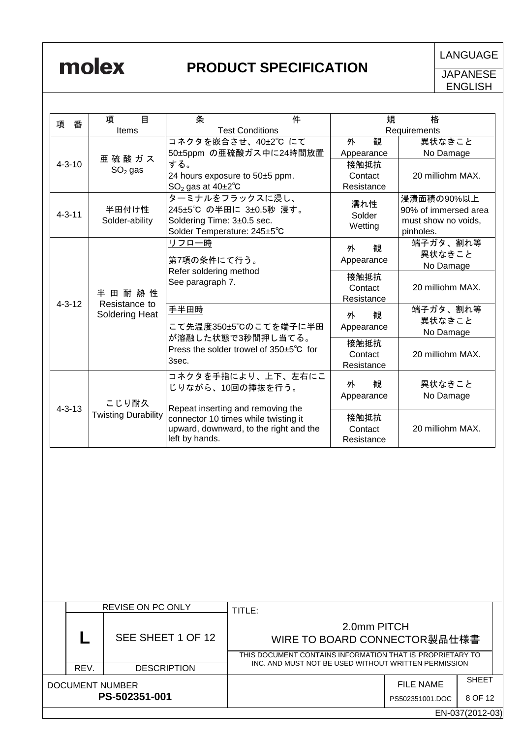|                   |              | 項<br>目                                                                                                            | 条                                     | 件                                      |                              | 規<br>格               |                 |  |
|-------------------|--------------|-------------------------------------------------------------------------------------------------------------------|---------------------------------------|----------------------------------------|------------------------------|----------------------|-----------------|--|
| 項                 | 番            | Items                                                                                                             |                                       | <b>Test Conditions</b>                 |                              | Requirements         |                 |  |
|                   |              |                                                                                                                   |                                       | コネクタを嵌合させ、40±2℃ にて                     | 外<br>観                       | 異状なきこと               |                 |  |
|                   |              |                                                                                                                   |                                       | 50±5ppm の亜硫酸ガス中に24時間放置                 | Appearance                   | No Damage            |                 |  |
|                   | $4 - 3 - 10$ | 亜硫酸ガス                                                                                                             | する。                                   |                                        | 接触抵抗                         |                      |                 |  |
|                   |              | $SO2$ gas                                                                                                         |                                       | 24 hours exposure to 50±5 ppm.         | Contact                      | 20 milliohm MAX.     |                 |  |
|                   |              |                                                                                                                   | $SO2$ gas at 40 $\pm$ 2 $\degree$ C   |                                        | Resistance                   |                      |                 |  |
|                   |              |                                                                                                                   |                                       | ターミナルをフラックスに浸し、                        |                              | 浸漬面積の90%以上           |                 |  |
|                   |              | 半田付け性                                                                                                             |                                       | 245±5℃ の半田に 3±0.5秒 浸す。                 | 濡れ性                          | 90% of immersed area |                 |  |
|                   | $4 - 3 - 11$ | Solder-ability                                                                                                    | Soldering Time: 3±0.5 sec.            |                                        | Solder                       | must show no voids,  |                 |  |
|                   |              |                                                                                                                   | Solder Temperature: 245±5°C           |                                        | Wetting                      | pinholes.            |                 |  |
|                   |              |                                                                                                                   | リフロー時                                 |                                        | 観                            | 端子ガタ、割れ等             |                 |  |
|                   |              |                                                                                                                   |                                       |                                        | 外                            | 異状なきこと               |                 |  |
|                   |              |                                                                                                                   | 第7項の条件にて行う。<br>Refer soldering method |                                        | Appearance                   | No Damage            |                 |  |
|                   |              |                                                                                                                   | See paragraph 7.                      |                                        | 接触抵抗                         |                      |                 |  |
|                   |              | 半田耐熱性                                                                                                             |                                       |                                        | Contact                      | 20 milliohm MAX.     |                 |  |
|                   | $4 - 3 - 12$ | Resistance to                                                                                                     |                                       |                                        | Resistance                   |                      |                 |  |
|                   |              | Soldering Heat                                                                                                    | 手半田時                                  |                                        | 外<br>観                       | 端子ガタ、割れ等             |                 |  |
|                   |              |                                                                                                                   |                                       | こて先温度350±5℃のこてを端子に半田                   | Appearance                   | 異状なきこと               |                 |  |
|                   |              |                                                                                                                   |                                       | が溶融した状態で3秒間押し当てる。                      |                              | No Damage            |                 |  |
|                   |              |                                                                                                                   |                                       | Press the solder trowel of 350±5°C for | 接触抵抗                         |                      |                 |  |
|                   |              |                                                                                                                   | 3sec.                                 |                                        | Contact                      | 20 milliohm MAX.     |                 |  |
|                   |              | こじり耐久<br><b>Twisting Durability</b>                                                                               |                                       | コネクタを手指により、上下、左右にこ                     | Resistance                   |                      |                 |  |
|                   |              |                                                                                                                   |                                       | じりながら、10回の挿抜を行う。                       | 観<br>外                       | 異状なきこと               |                 |  |
|                   | $4 - 3 - 13$ |                                                                                                                   |                                       |                                        | Appearance                   | No Damage            |                 |  |
|                   |              |                                                                                                                   |                                       | Repeat inserting and removing the      |                              |                      |                 |  |
|                   |              |                                                                                                                   |                                       | connector 10 times while twisting it   | 接触抵抗                         |                      |                 |  |
|                   |              |                                                                                                                   |                                       | upward, downward, to the right and the | Contact                      | 20 milliohm MAX.     |                 |  |
|                   |              |                                                                                                                   | left by hands.                        |                                        | Resistance                   |                      |                 |  |
|                   |              |                                                                                                                   |                                       |                                        |                              |                      |                 |  |
|                   |              | REVISE ON PC ONLY                                                                                                 |                                       | TITLE:                                 |                              |                      |                 |  |
|                   |              |                                                                                                                   |                                       | 2.0mm PITCH                            |                              |                      |                 |  |
| SEE SHEET 1 OF 12 |              |                                                                                                                   |                                       |                                        | WIRE TO BOARD CONNECTOR製品仕様書 |                      |                 |  |
|                   |              |                                                                                                                   |                                       |                                        |                              |                      |                 |  |
|                   |              | THIS DOCUMENT CONTAINS INFORMATION THAT IS PROPRIETARY TO<br>INC. AND MUST NOT BE USED WITHOUT WRITTEN PERMISSION |                                       |                                        |                              |                      |                 |  |
|                   | REV.         | <b>DESCRIPTION</b>                                                                                                |                                       |                                        |                              |                      |                 |  |
|                   |              | <b>DOCUMENT NUMBER</b>                                                                                            |                                       |                                        |                              | <b>FILE NAME</b>     | <b>SHEET</b>    |  |
|                   |              | PS-502351-001                                                                                                     |                                       |                                        |                              | PS502351001.DOC      | 8 OF 12         |  |
|                   |              |                                                                                                                   |                                       |                                        |                              |                      |                 |  |
|                   |              |                                                                                                                   |                                       |                                        |                              |                      | EN-037(2012-03) |  |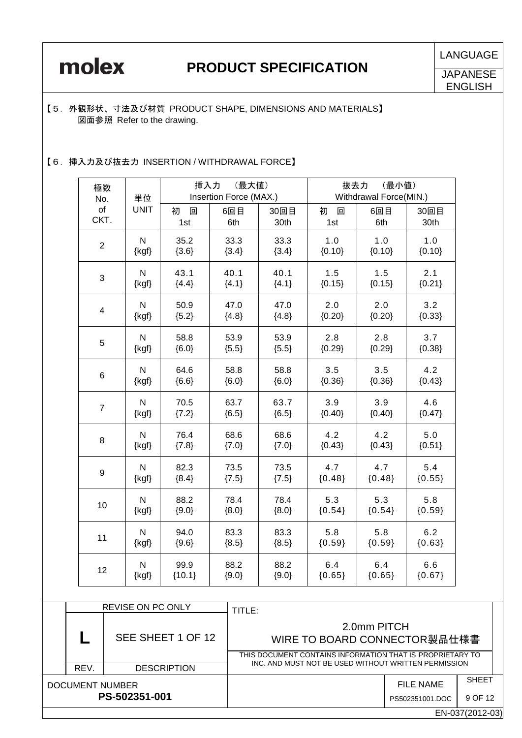**LANGUAGE** 

### 【5.外観形状、寸法及び材質 PRODUCT SHAPE, DIMENSIONS AND MATERIALS】 図面参照 Refer to the drawing.

### 【6.挿入力及び抜去力 INSERTION / WITHDRAWAL FORCE】

| 極数<br>No.               | 単位                                               |               | 挿入力<br>(最大値)<br>Insertion Force (MAX.) |                 |                 | (最小値)<br>抜去力<br>Withdrawal Force(MIN.) |                 |  |  |
|-------------------------|--------------------------------------------------|---------------|----------------------------------------|-----------------|-----------------|----------------------------------------|-----------------|--|--|
| of<br>CKT.              | <b>UNIT</b>                                      | 初<br>回<br>1st | 6回目<br>6th                             | 30回目<br>30th    | 初<br>回<br>1st   | 6回目<br>6th                             | 30回目<br>30th    |  |  |
| $\overline{2}$          | N                                                | 35.2          | 33.3                                   | 33.3            | 1.0             | 1.0                                    | 1.0             |  |  |
|                         | $\{kgf\}$                                        | ${3.6}$       | ${3.4}$                                | ${3.4}$         | ${0.10}$        | ${0.10}$                               | ${0.10}$        |  |  |
| 3                       | N                                                | 43.1          | 40.1                                   | 40.1            | 1.5             | 1.5                                    | 2.1             |  |  |
|                         | $\{kgf\}$                                        | ${4.4}$       | ${4.1}$                                | ${4.1}$         | ${0.15}$        | ${0.15}$                               | ${0.21}$        |  |  |
| $\overline{\mathbf{4}}$ | 50.9<br>47.0<br>N<br>{kgf}<br>${5.2}$<br>${4.8}$ |               |                                        | 47.0<br>${4.8}$ | 2.0<br>${0.20}$ | 2.0<br>${0.20}$                        | 3.2<br>${0.33}$ |  |  |
| 5                       | N                                                | 58.8          | 53.9                                   | 53.9            | 2.8             | 2.8                                    | 3.7             |  |  |
|                         | $\{kgf\}$                                        | ${6.0}$       | ${5.5}$                                | ${5.5}$         | ${0.29}$        | ${0.29}$                               | ${0.38}$        |  |  |
| 6                       | N<br>64.6<br>$\{kgf\}$<br>${6.6}$                |               | 58.8<br>${6.0}$                        | 58.8<br>${6.0}$ | 3.5<br>${0.36}$ | 3.5<br>${0.36}$                        | 4.2<br>${0.43}$ |  |  |
| $\overline{7}$          | N                                                | 70.5          | 63.7                                   | 63.7            | 3.9             | 3.9                                    | 4.6             |  |  |
|                         | $\{kgf\}$                                        | ${7.2}$       | ${6.5}$                                | ${6.5}$         | ${0.40}$        | ${0.40}$                               | ${0.47}$        |  |  |
| 8                       | N                                                | 76.4          | 68.6                                   | 68.6            | 4.2             | 4.2                                    | 5.0             |  |  |
|                         | {kgf}                                            | ${7.8}$       | ${7.0}$                                | $\{7.0\}$       | ${0.43}$        | ${0.43}$                               | ${0.51}$        |  |  |
| 9                       | N                                                | 82.3          | 73.5                                   | 73.5            | 4.7             | 4.7                                    | 5.4             |  |  |
|                         | $\{kgf\}$                                        | ${8.4}$       | ${7.5}$                                | ${7.5}$         | ${0.48}$        | ${0.48}$                               | ${0.55}$        |  |  |
| 10                      | N                                                | 88.2          | 78.4                                   | 78.4            | 5.3             | 5.3                                    | 5.8             |  |  |
|                         | $\{kgf\}$                                        | ${9.0}$       | ${8.0}$                                | ${8.0}$         | ${0.54}$        | ${0.54}$                               | ${0.59}$        |  |  |
| 11                      | N                                                | 94.0          | 83.3                                   | 83.3            | 5.8             | 5.8                                    | 6.2             |  |  |
|                         | $\{kgf\}$                                        | ${9.6}$       | ${8.5}$                                | ${8.5}$         | ${0.59}$        | ${0.59}$                               | ${0.63}$        |  |  |
| 12                      | N                                                | 99.9          | 88.2                                   | 88.2            | 6.4             | 6.4                                    | 6.6             |  |  |
|                         | $\{kgf\}$                                        | ${10.1}$      | ${9.0}$                                | ${9.0}$         | ${0.65}$        | ${0.65}$                               | ${0.67}$        |  |  |

|                                  |      | <b>REVISE ON PC ONLY</b> | TITLE:                                                                                                   |                              |                         |  |
|----------------------------------|------|--------------------------|----------------------------------------------------------------------------------------------------------|------------------------------|-------------------------|--|
|                                  |      | SEE SHEET 1 OF 12        | 2.0mm PITCH<br>WIRE TO BOARD CONNECTOR製品仕様書<br>THIS DOCUMENT CONTAINS INFORMATION THAT IS PROPRIETARY TO |                              |                         |  |
|                                  | REV. | <b>DESCRIPTION</b>       | INC. AND MUST NOT BE USED WITHOUT WRITTEN PERMISSION                                                     |                              |                         |  |
| DOCUMENT NUMBER<br>PS-502351-001 |      |                          |                                                                                                          | FILE NAME<br>PS502351001.DOC | <b>SHEET</b><br>9 OF 12 |  |
|                                  |      |                          |                                                                                                          |                              | EN-037(2012-03)         |  |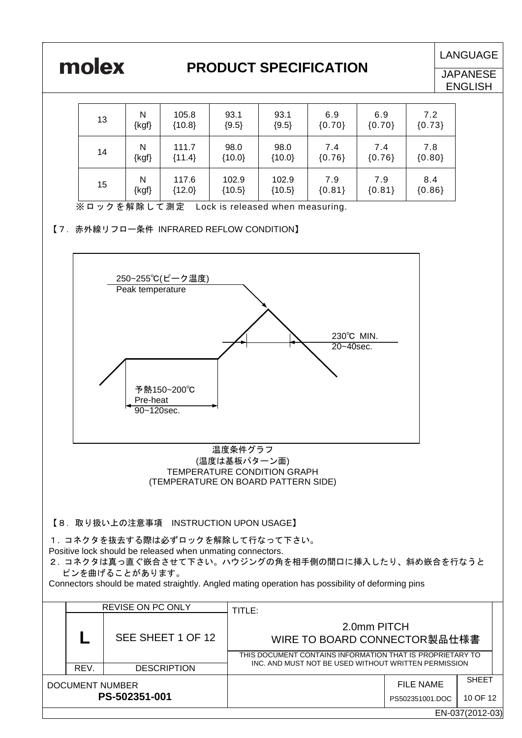

**LANGUAGE** 

**JAPANESE ENGLISH** 

| 13 | N         | 105.8    | 93.1     | 93.1     | 6.9      | 6.9      | 7.2      |
|----|-----------|----------|----------|----------|----------|----------|----------|
|    | $\{kgf\}$ | ${10.8}$ | ${9.5}$  | ${9.5}$  | ${0.70}$ | ${0.70}$ | ${0.73}$ |
| 14 | N         | 111.7    | 98.0     | 98.0     | 7.4      | 7.4      | 7.8      |
|    | $\{kgf\}$ | ${11.4}$ | ${10.0}$ | ${10.0}$ | ${0.76}$ | ${0.76}$ | ${0.80}$ |
| 15 | N         | 117.6    | 102.9    | 102.9    | 7.9      | 7.9      | 8.4      |
|    | $\{kgf\}$ | ${12.0}$ | ${10.5}$ | ${10.5}$ | ${0.81}$ | ${0.81}$ | ${0.86}$ |

※ロックを解除して測定 Lock is released when measuring.

<sup>【7.</sup>赤外線リフロー条件 INFRARED REFLOW CONDITION】



# TEMPERATURE CONDITION GRAPH (TEMPERATURE ON BOARD PATTERN SIDE)

【8.取り扱い上の注意事項 INSTRUCTION UPON USAGE】

1. コネクタを抜去する際は必ずロックを解除して行なって下さい。 Positive lock should be released when unmating connectors.

2. コネクタは真っ直ぐ嵌合させて下さい。ハウジングの角を相手側の間口に挿入したり、斜め嵌合を行なうと ピンを曲げることがあります。

Connectors should be mated straightly. Angled mating operation has possibility of deforming pins

|                                  |                 | <b>REVISE ON PC ONLY</b> | TITLE:                                                                                                   |                                     |                          |  |
|----------------------------------|-----------------|--------------------------|----------------------------------------------------------------------------------------------------------|-------------------------------------|--------------------------|--|
|                                  |                 | SEE SHEET 1 OF 12        | 2.0mm PITCH<br>WIRE TO BOARD CONNECTOR製品仕様書<br>THIS DOCUMENT CONTAINS INFORMATION THAT IS PROPRIETARY TO |                                     |                          |  |
|                                  | REV.            | <b>DESCRIPTION</b>       | INC. AND MUST NOT BE USED WITHOUT WRITTEN PERMISSION                                                     |                                     |                          |  |
| DOCUMENT NUMBER<br>PS-502351-001 |                 |                          |                                                                                                          | <b>FILE NAME</b><br>PS502351001.DOC | <b>SHEET</b><br>10 OF 12 |  |
|                                  | EN-037(2012-03) |                          |                                                                                                          |                                     |                          |  |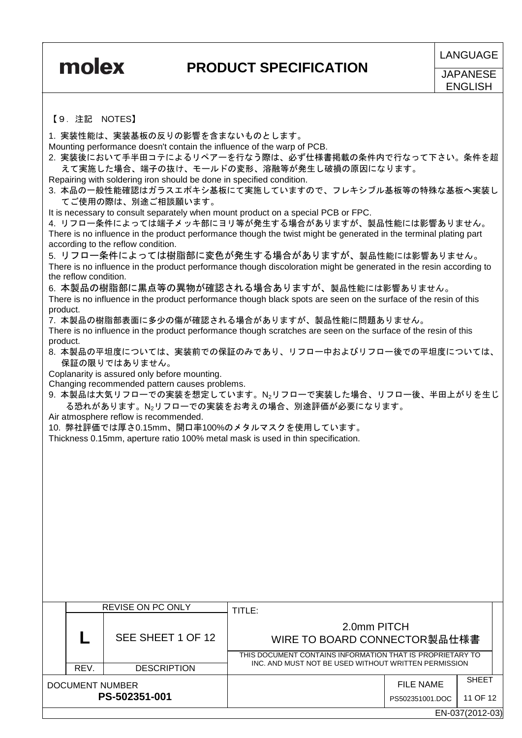**JAPANESE** ENGLISH

### 【9.注記 NOTES】

1. 実装性能は、実装基板の反りの影響を含まないものとします。

Mounting performance doesn't contain the influence of the warp of PCB.

2. 実装後において手半田コテによるリペアーを行なう際は、必ず仕様書掲載の条件内で行なって下さい。条件を超 えて実施した場合、端子の抜け、モールドの変形、溶融等が発生し破損の原因になります。

Repairing with soldering iron should be done in specified condition.

3. 本品の一般性能確認はガラスエポキシ基板にて実施していますので、フレキシブル基板等の特殊な基板へ実装し てご使用の際は、別途ご相談願います。

It is necessary to consult separately when mount product on a special PCB or FPC.

4. リフロー条件によっては端子メッキ部にヨリ等が発生する場合がありますが、製品性能には影響ありません。 There is no influence in the product performance though the twist might be generated in the terminal plating part according to the reflow condition.

5. リフロー条件によっては樹脂部に変色が発生する場合がありますが、製品性能には影響ありません。 There is no influence in the product performance though discoloration might be generated in the resin according to the reflow condition.

6. 本製品の樹脂部に黒点等の異物が確認される場合ありますが、製品性能には影響ありません。

There is no influence in the product performance though black spots are seen on the surface of the resin of this product.

7. 本製品の樹脂部表面に多少の傷が確認される場合がありますが、製品性能に問題ありません。

There is no influence in the product performance though scratches are seen on the surface of the resin of this product.

8. 本製品の平坦度については、実装前での保証のみであり、リフロー中およびリフロー後での平坦度については、 保証の限りではありません。

Coplanarity is assured only before mounting.

Changing recommended pattern causes problems.

9. 本製品は大気リフローでの実装を想定しています。N2リフローで実装した場合、リフロー後、半田上がりを生じ る恐れがあります。N2リフローでの実装をお考えの場合、別途評価が必要になります。

Air atmosphere reflow is recommended.

10. 弊社評価では厚さ0.15mm、開口率100%のメタルマスクを使用しています。

Thickness 0.15mm, aperture ratio 100% metal mask is used in thin specification.

|                                  |                 | REVISE ON PC ONLY  | TITLE:                                                                                                                                                           |                 |              |  |
|----------------------------------|-----------------|--------------------|------------------------------------------------------------------------------------------------------------------------------------------------------------------|-----------------|--------------|--|
|                                  |                 | SEE SHEET 1 OF 12  | 2.0mm PITCH<br>WIRE TO BOARD CONNECTOR製品仕様書<br>THIS DOCUMENT CONTAINS INFORMATION THAT IS PROPRIETARY TO<br>INC. AND MUST NOT BE USED WITHOUT WRITTEN PERMISSION |                 |              |  |
|                                  |                 |                    |                                                                                                                                                                  |                 |              |  |
|                                  | REV.            | <b>DESCRIPTION</b> |                                                                                                                                                                  |                 |              |  |
| DOCUMENT NUMBER<br>PS-502351-001 |                 |                    |                                                                                                                                                                  | FILE NAME       | <b>SHEET</b> |  |
|                                  |                 |                    |                                                                                                                                                                  | PS502351001.DOC | 11 OF 12     |  |
|                                  | EN-037(2012-03) |                    |                                                                                                                                                                  |                 |              |  |